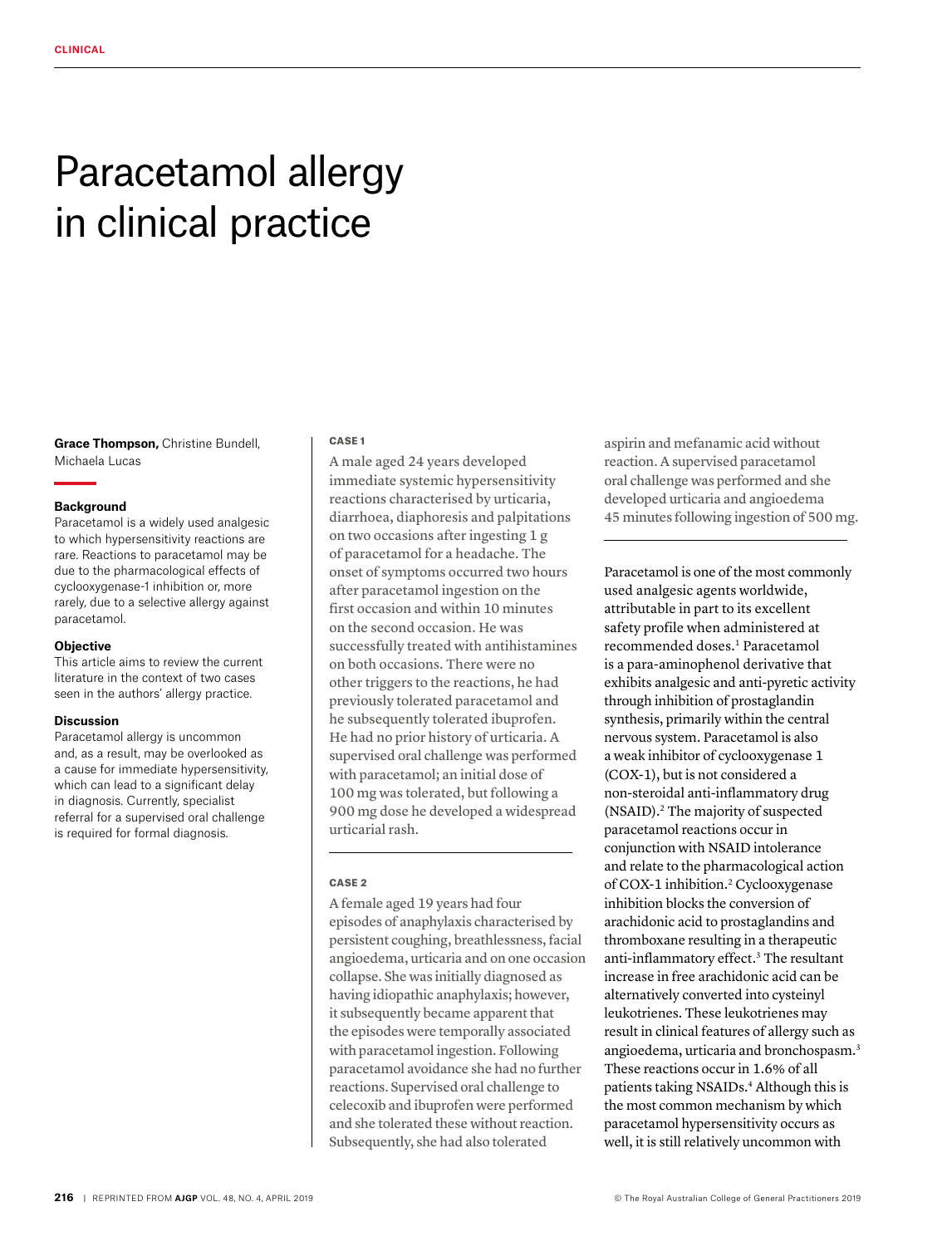# Paracetamol allergy in clinical practice

**Grace Thompson,** Christine Bundell, Michaela Lucas

# **Background**

Paracetamol is a widely used analgesic to which hypersensitivity reactions are rare. Reactions to paracetamol may be due to the pharmacological effects of cyclooxygenase-1 inhibition or, more rarely, due to a selective allergy against paracetamol.

# **Objective**

This article aims to review the current literature in the context of two cases seen in the authors' allergy practice.

#### **Discussion**

Paracetamol allergy is uncommon and, as a result, may be overlooked as a cause for immediate hypersensitivity, which can lead to a significant delay in diagnosis. Currently, specialist referral for a supervised oral challenge is required for formal diagnosis.

### CASE 1

A male aged 24 years developed immediate systemic hypersensitivity reactions characterised by urticaria, diarrhoea, diaphoresis and palpitations on two occasions after ingesting 1 g of paracetamol for a headache. The onset of symptoms occurred two hours after paracetamol ingestion on the first occasion and within 10 minutes on the second occasion. He was successfully treated with antihistamines on both occasions. There were no other triggers to the reactions, he had previously tolerated paracetamol and he subsequently tolerated ibuprofen. He had no prior history of urticaria. A supervised oral challenge was performed with paracetamol; an initial dose of 100 mg was tolerated, but following a 900 mg dose he developed a widespread urticarial rash.

# CASE 2

A female aged 19 years had four episodes of anaphylaxis characterised by persistent coughing, breathlessness, facial angioedema, urticaria and on one occasion collapse. She was initially diagnosed as having idiopathic anaphylaxis; however, it subsequently became apparent that the episodes were temporally associated with paracetamol ingestion. Following paracetamol avoidance she had no further reactions. Supervised oral challenge to celecoxib and ibuprofen were performed and she tolerated these without reaction. Subsequently, she had also tolerated

aspirin and mefanamic acid without reaction. A supervised paracetamol oral challenge was performed and she developed urticaria and angioedema 45 minutes following ingestion of 500 mg.

Paracetamol is one of the most commonly used analgesic agents worldwide, attributable in part to its excellent safety profile when administered at recommended doses.<sup>1</sup> Paracetamol is a para-aminophenol derivative that exhibits analgesic and anti-pyretic activity through inhibition of prostaglandin synthesis, primarily within the central nervous system. Paracetamol is also a weak inhibitor of cyclooxygenase 1 (COX-1), but is not considered a non-steroidal anti-inflammatory drug (NSAID).2 The majority of suspected paracetamol reactions occur in conjunction with NSAID intolerance and relate to the pharmacological action of COX-1 inhibition.2 Cyclooxygenase inhibition blocks the conversion of arachidonic acid to prostaglandins and thromboxane resulting in a therapeutic anti-inflammatory effect.3 The resultant increase in free arachidonic acid can be alternatively converted into cysteinyl leukotrienes. These leukotrienes may result in clinical features of allergy such as angioedema, urticaria and bronchospasm.3 These reactions occur in 1.6% of all patients taking NSAIDs.4 Although this is the most common mechanism by which paracetamol hypersensitivity occurs as well, it is still relatively uncommon with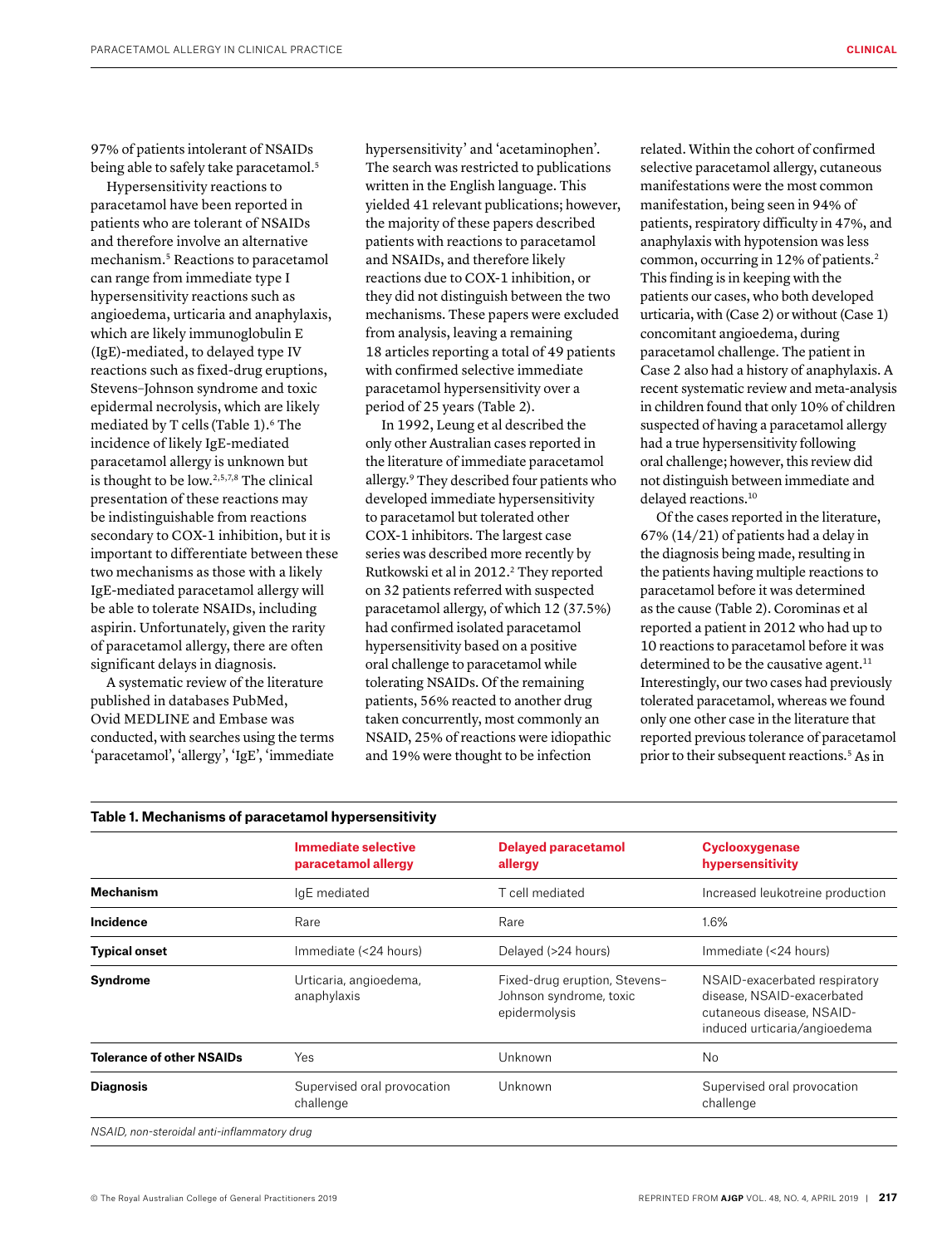97% of patients intolerant of NSAIDs being able to safely take paracetamol.<sup>5</sup>

Hypersensitivity reactions to paracetamol have been reported in patients who are tolerant of NSAIDs and therefore involve an alternative mechanism.5 Reactions to paracetamol can range from immediate type I hypersensitivity reactions such as angioedema, urticaria and anaphylaxis, which are likely immunoglobulin E (IgE)-mediated, to delayed type IV reactions such as fixed-drug eruptions, Stevens–Johnson syndrome and toxic epidermal necrolysis, which are likely mediated by T cells (Table 1).<sup>6</sup> The incidence of likely IgE-mediated paracetamol allergy is unknown but is thought to be low.2,5,7,8 The clinical presentation of these reactions may be indistinguishable from reactions secondary to COX-1 inhibition, but it is important to differentiate between these two mechanisms as those with a likely IgE-mediated paracetamol allergy will be able to tolerate NSAIDs, including aspirin. Unfortunately, given the rarity of paracetamol allergy, there are often significant delays in diagnosis.

A systematic review of the literature published in databases PubMed, Ovid MEDLINE and Embase was conducted, with searches using the terms 'paracetamol', 'allergy', 'IgE', 'immediate hypersensitivity' and 'acetaminophen'. The search was restricted to publications written in the English language. This yielded 41 relevant publications; however, the majority of these papers described patients with reactions to paracetamol and NSAIDs, and therefore likely reactions due to COX-1 inhibition, or they did not distinguish between the two mechanisms. These papers were excluded from analysis, leaving a remaining 18 articles reporting a total of 49 patients with confirmed selective immediate paracetamol hypersensitivity over a period of 25 years (Table 2).

In 1992, Leung et al described the only other Australian cases reported in the literature of immediate paracetamol allergy.9 They described four patients who developed immediate hypersensitivity to paracetamol but tolerated other COX-1 inhibitors. The largest case series was described more recently by Rutkowski et al in 2012.<sup>2</sup> They reported on 32 patients referred with suspected paracetamol allergy, of which 12 (37.5%) had confirmed isolated paracetamol hypersensitivity based on a positive oral challenge to paracetamol while tolerating NSAIDs. Of the remaining patients, 56% reacted to another drug taken concurrently, most commonly an NSAID, 25% of reactions were idiopathic and 19% were thought to be infection

related. Within the cohort of confirmed selective paracetamol allergy, cutaneous manifestations were the most common manifestation, being seen in 94% of patients, respiratory difficulty in 47%, and anaphylaxis with hypotension was less common, occurring in 12% of patients.2 This finding is in keeping with the patients our cases, who both developed urticaria, with (Case 2) or without (Case 1) concomitant angioedema, during paracetamol challenge. The patient in Case 2 also had a history of anaphylaxis. A recent systematic review and meta-analysis in children found that only 10% of children suspected of having a paracetamol allergy had a true hypersensitivity following oral challenge; however, this review did not distinguish between immediate and delayed reactions.<sup>10</sup>

Of the cases reported in the literature, 67% (14/21) of patients had a delay in the diagnosis being made, resulting in the patients having multiple reactions to paracetamol before it was determined as the cause (Table 2). Corominas et al reported a patient in 2012 who had up to 10 reactions to paracetamol before it was determined to be the causative agent. $11$ Interestingly, our two cases had previously tolerated paracetamol, whereas we found only one other case in the literature that reported previous tolerance of paracetamol prior to their subsequent reactions.<sup>5</sup> As in

|                                  | <b>Immediate selective</b><br>paracetamol allergy | <b>Delayed paracetamol</b><br>allergy                                     | <b>Cyclooxygenase</b><br>hypersensitivity                                                                                |
|----------------------------------|---------------------------------------------------|---------------------------------------------------------------------------|--------------------------------------------------------------------------------------------------------------------------|
| <b>Mechanism</b>                 | IqE mediated                                      | T cell mediated                                                           | Increased leukotreine production                                                                                         |
| Incidence                        | Rare                                              | Rare                                                                      | 1.6%                                                                                                                     |
| <b>Typical onset</b>             | Immediate (<24 hours)                             | Delayed (>24 hours)                                                       | Immediate (<24 hours)                                                                                                    |
| <b>Syndrome</b>                  | Urticaria, angioedema,<br>anaphylaxis             | Fixed-drug eruption, Stevens-<br>Johnson syndrome, toxic<br>epidermolysis | NSAID-exacerbated respiratory<br>disease, NSAID-exacerbated<br>cutaneous disease, NSAID-<br>induced urticaria/angioedema |
| <b>Tolerance of other NSAIDs</b> | Yes                                               | Unknown                                                                   | <b>No</b>                                                                                                                |
| <b>Diagnosis</b>                 | Supervised oral provocation<br>challenge          | Unknown                                                                   | Supervised oral provocation<br>challenge                                                                                 |

# **Table 1. Mechanisms of paracetamol hypersensitivity**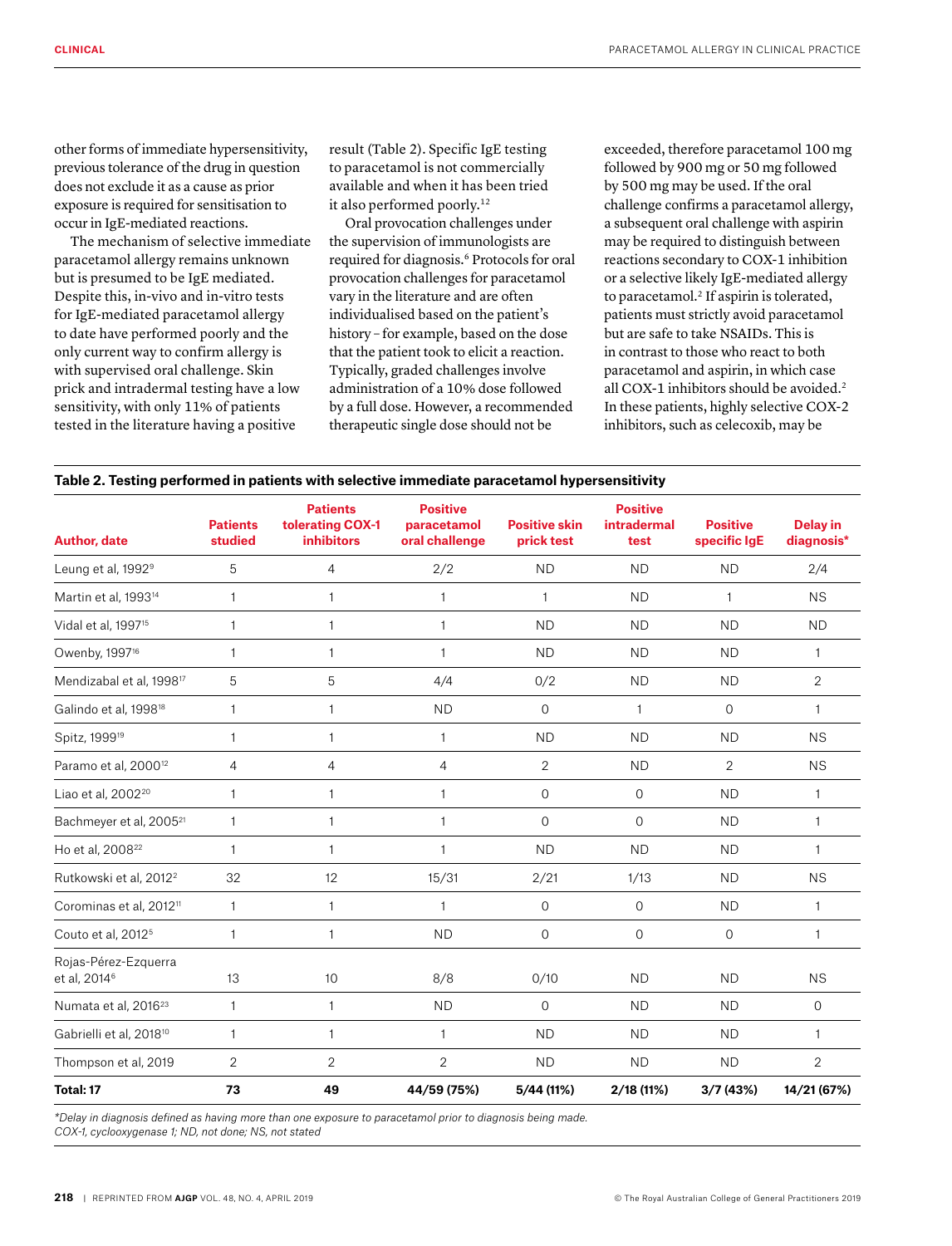other forms of immediate hypersensitivity, previous tolerance of the drug in question does not exclude it as a cause as prior exposure is required for sensitisation to occur in IgE-mediated reactions.

The mechanism of selective immediate paracetamol allergy remains unknown but is presumed to be IgE mediated. Despite this, in-vivo and in-vitro tests for IgE-mediated paracetamol allergy to date have performed poorly and the only current way to confirm allergy is with supervised oral challenge. Skin prick and intradermal testing have a low sensitivity, with only 11% of patients tested in the literature having a positive

result (Table 2). Specific IgE testing to paracetamol is not commercially available and when it has been tried it also performed poorly.<sup>12</sup>

Oral provocation challenges under the supervision of immunologists are required for diagnosis.6 Protocols for oral provocation challenges for paracetamol vary in the literature and are often individualised based on the patient's history – for example, based on the dose that the patient took to elicit a reaction. Typically, graded challenges involve administration of a 10% dose followed by a full dose. However, a recommended therapeutic single dose should not be

exceeded, therefore paracetamol 100 mg followed by 900 mg or 50 mg followed by 500 mg may be used. If the oral challenge confirms a paracetamol allergy, a subsequent oral challenge with aspirin may be required to distinguish between reactions secondary to COX-1 inhibition or a selective likely IgE-mediated allergy to paracetamol.<sup>2</sup> If aspirin is tolerated, patients must strictly avoid paracetamol but are safe to take NSAIDs. This is in contrast to those who react to both paracetamol and aspirin, in which case all COX-1 inhibitors should be avoided.<sup>2</sup> In these patients, highly selective COX-2 inhibitors, such as celecoxib, may be

| <b>Author, date</b>                              | <b>Patients</b><br>studied | <b>Patients</b><br>tolerating COX-1<br><b>inhibitors</b> | <b>Positive</b><br>paracetamol<br>oral challenge | <b>Positive skin</b><br>prick test | <b>Positive</b><br><b>intradermal</b><br>test | <b>Positive</b><br>specific IgE | <b>Delay in</b><br>diagnosis* |
|--------------------------------------------------|----------------------------|----------------------------------------------------------|--------------------------------------------------|------------------------------------|-----------------------------------------------|---------------------------------|-------------------------------|
| Leung et al, 1992 <sup>9</sup>                   | 5                          | $\overline{4}$                                           | 2/2                                              | <b>ND</b>                          | <b>ND</b>                                     | <b>ND</b>                       | 2/4                           |
| Martin et al, 1993 <sup>14</sup>                 | $\mathbf{1}$               | $\mathbf{1}$                                             | 1                                                | $\mathbf{1}$                       | <b>ND</b>                                     | $\mathbf{1}$                    | <b>NS</b>                     |
| Vidal et al, 1997 <sup>15</sup>                  | $\mathbf{1}$               | $\mathbf{1}$                                             | 1                                                | <b>ND</b>                          | <b>ND</b>                                     | <b>ND</b>                       | <b>ND</b>                     |
| Owenby, 1997 <sup>16</sup>                       | $\mathbf{1}$               | $\overline{1}$                                           | 1                                                | <b>ND</b>                          | <b>ND</b>                                     | <b>ND</b>                       | $\mathbf{1}$                  |
| Mendizabal et al, 1998 <sup>17</sup>             | 5                          | 5                                                        | 4/4                                              | 0/2                                | <b>ND</b>                                     | <b>ND</b>                       | $\overline{2}$                |
| Galindo et al, 1998 <sup>18</sup>                | $\mathbf{1}$               | $\overline{1}$                                           | <b>ND</b>                                        | $\overline{O}$                     | $\mathbf{1}$                                  | $\mathbf{0}$                    | $\mathbf{1}$                  |
| Spitz, 1999 <sup>19</sup>                        | $\mathbf{1}$               | $\mathbf{1}$                                             | 1                                                | <b>ND</b>                          | <b>ND</b>                                     | <b>ND</b>                       | <b>NS</b>                     |
| Paramo et al, 2000 <sup>12</sup>                 | $\overline{4}$             | $\overline{4}$                                           | $\overline{4}$                                   | $\overline{2}$                     | <b>ND</b>                                     | 2                               | <b>NS</b>                     |
| Liao et al, 2002 <sup>20</sup>                   | $\mathbf{1}$               | $\mathbf{1}$                                             | 1                                                | 0                                  | $\mathbf{O}$                                  | <b>ND</b>                       | $\mathbf{1}$                  |
| Bachmeyer et al, 2005 <sup>21</sup>              | $\mathbf{1}$               | $\overline{1}$                                           | 1                                                | $\overline{O}$                     | $\mathbf{O}$                                  | <b>ND</b>                       | $\mathbf{1}$                  |
| Ho et al, 2008 <sup>22</sup>                     | $\mathbf{1}$               | $\mathbf{1}$                                             | 1                                                | <b>ND</b>                          | <b>ND</b>                                     | <b>ND</b>                       | $\mathbf{1}$                  |
| Rutkowski et al, 2012 <sup>2</sup>               | 32                         | 12                                                       | 15/31                                            | 2/21                               | 1/13                                          | <b>ND</b>                       | <b>NS</b>                     |
| Corominas et al, 2012 <sup>11</sup>              | $\mathbf{1}$               | $\mathbf{1}$                                             | 1                                                | $\overline{0}$                     | $\mathbf 0$                                   | <b>ND</b>                       | $\mathbf{1}$                  |
| Couto et al, 2012 <sup>5</sup>                   | $\mathbf{1}$               | $\mathbf{1}$                                             | <b>ND</b>                                        | $\mathbf{O}$                       | $\mathbf{0}$                                  | $\mathbf 0$                     | $\mathbf{1}$                  |
| Rojas-Pérez-Ezquerra<br>et al, 2014 <sup>6</sup> | 13                         | 10                                                       | 8/8                                              | 0/10                               | <b>ND</b>                                     | <b>ND</b>                       | <b>NS</b>                     |
| Numata et al, 2016 <sup>23</sup>                 | $\mathbf{1}$               | $\mathbf{1}$                                             | <b>ND</b>                                        | $\mathbf{O}$                       | <b>ND</b>                                     | <b>ND</b>                       | $\overline{O}$                |
| Gabrielli et al, 2018 <sup>10</sup>              | $\mathbf{1}$               | $\mathbf{1}$                                             | 1                                                | <b>ND</b>                          | <b>ND</b>                                     | <b>ND</b>                       | $\mathbf{1}$                  |
| Thompson et al, 2019                             | $\overline{2}$             | $\overline{2}$                                           | 2                                                | <b>ND</b>                          | <b>ND</b>                                     | <b>ND</b>                       | $\overline{2}$                |
| Total: 17                                        | 73                         | 49                                                       | 44/59 (75%)                                      | 5/44 (11%)                         | 2/18 (11%)                                    | 3/7(43%)                        | 14/21 (67%)                   |

# **Table 2. Testing performed in patients with selective immediate paracetamol hypersensitivity**

*\*Delay in diagnosis defined as having more than one exposure to paracetamol prior to diagnosis being made. COX-1, cyclooxygenase 1; ND, not done; NS, not stated*